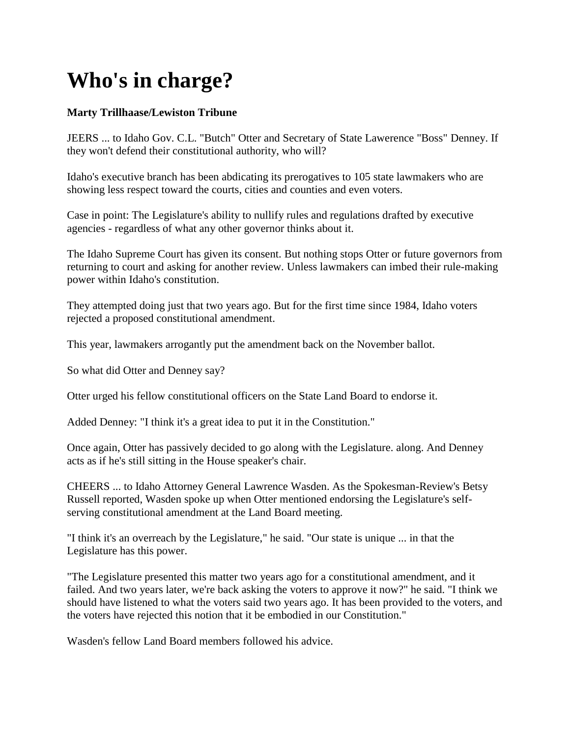## **Who's in charge?**

## **Marty Trillhaase/Lewiston Tribune**

JEERS ... to Idaho Gov. C.L. "Butch" Otter and Secretary of State Lawerence "Boss" Denney. If they won't defend their constitutional authority, who will?

Idaho's executive branch has been abdicating its prerogatives to 105 state lawmakers who are showing less respect toward the courts, cities and counties and even voters.

Case in point: The Legislature's ability to nullify rules and regulations drafted by executive agencies - regardless of what any other governor thinks about it.

The Idaho Supreme Court has given its consent. But nothing stops Otter or future governors from returning to court and asking for another review. Unless lawmakers can imbed their rule-making power within Idaho's constitution.

They attempted doing just that two years ago. But for the first time since 1984, Idaho voters rejected a proposed constitutional amendment.

This year, lawmakers arrogantly put the amendment back on the November ballot.

So what did Otter and Denney say?

Otter urged his fellow constitutional officers on the State Land Board to endorse it.

Added Denney: "I think it's a great idea to put it in the Constitution."

Once again, Otter has passively decided to go along with the Legislature. along. And Denney acts as if he's still sitting in the House speaker's chair.

CHEERS ... to Idaho Attorney General Lawrence Wasden. As the Spokesman-Review's Betsy Russell reported, Wasden spoke up when Otter mentioned endorsing the Legislature's selfserving constitutional amendment at the Land Board meeting.

"I think it's an overreach by the Legislature," he said. "Our state is unique ... in that the Legislature has this power.

"The Legislature presented this matter two years ago for a constitutional amendment, and it failed. And two years later, we're back asking the voters to approve it now?" he said. "I think we should have listened to what the voters said two years ago. It has been provided to the voters, and the voters have rejected this notion that it be embodied in our Constitution."

Wasden's fellow Land Board members followed his advice.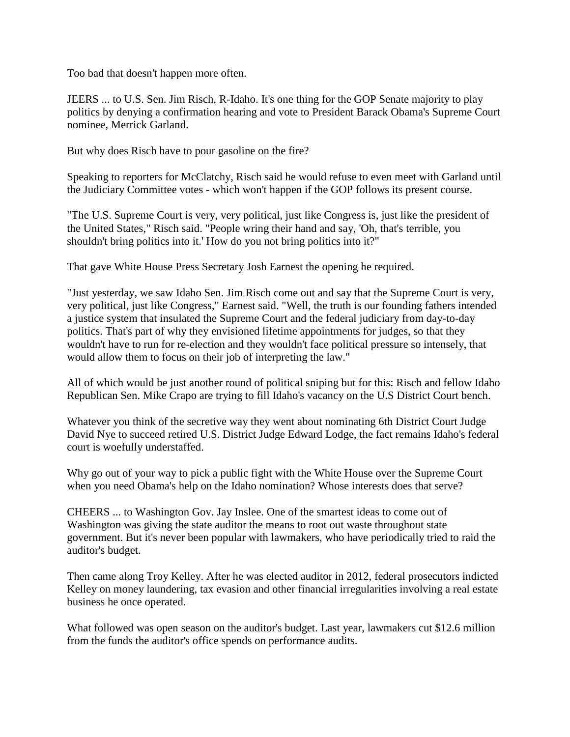Too bad that doesn't happen more often.

JEERS ... to U.S. Sen. Jim Risch, R-Idaho. It's one thing for the GOP Senate majority to play politics by denying a confirmation hearing and vote to President Barack Obama's Supreme Court nominee, Merrick Garland.

But why does Risch have to pour gasoline on the fire?

Speaking to reporters for McClatchy, Risch said he would refuse to even meet with Garland until the Judiciary Committee votes - which won't happen if the GOP follows its present course.

"The U.S. Supreme Court is very, very political, just like Congress is, just like the president of the United States," Risch said. "People wring their hand and say, 'Oh, that's terrible, you shouldn't bring politics into it.' How do you not bring politics into it?"

That gave White House Press Secretary Josh Earnest the opening he required.

"Just yesterday, we saw Idaho Sen. Jim Risch come out and say that the Supreme Court is very, very political, just like Congress," Earnest said. "Well, the truth is our founding fathers intended a justice system that insulated the Supreme Court and the federal judiciary from day-to-day politics. That's part of why they envisioned lifetime appointments for judges, so that they wouldn't have to run for re-election and they wouldn't face political pressure so intensely, that would allow them to focus on their job of interpreting the law."

All of which would be just another round of political sniping but for this: Risch and fellow Idaho Republican Sen. Mike Crapo are trying to fill Idaho's vacancy on the U.S District Court bench.

Whatever you think of the secretive way they went about nominating 6th District Court Judge David Nye to succeed retired U.S. District Judge Edward Lodge, the fact remains Idaho's federal court is woefully understaffed.

Why go out of your way to pick a public fight with the White House over the Supreme Court when you need Obama's help on the Idaho nomination? Whose interests does that serve?

CHEERS ... to Washington Gov. Jay Inslee. One of the smartest ideas to come out of Washington was giving the state auditor the means to root out waste throughout state government. But it's never been popular with lawmakers, who have periodically tried to raid the auditor's budget.

Then came along Troy Kelley. After he was elected auditor in 2012, federal prosecutors indicted Kelley on money laundering, tax evasion and other financial irregularities involving a real estate business he once operated.

What followed was open season on the auditor's budget. Last year, lawmakers cut \$12.6 million from the funds the auditor's office spends on performance audits.